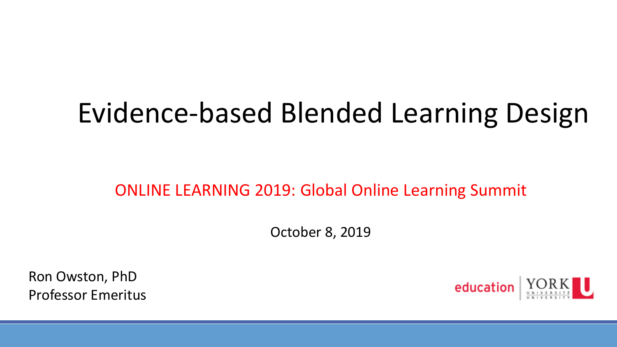## Evidence-based Blended Learning Design

### ONLINE LEARNING 2019: Global Online Learning Summit

October 8, 2019

Ron Owston, PhD Professor Emeritus

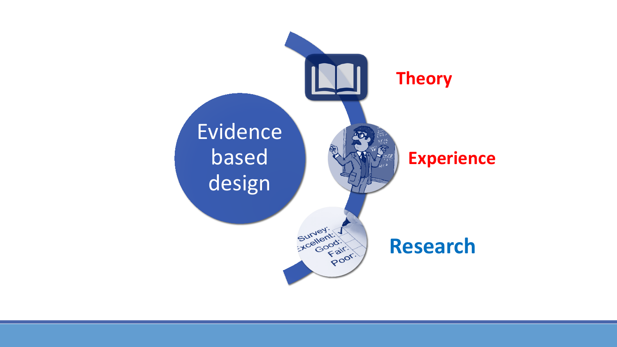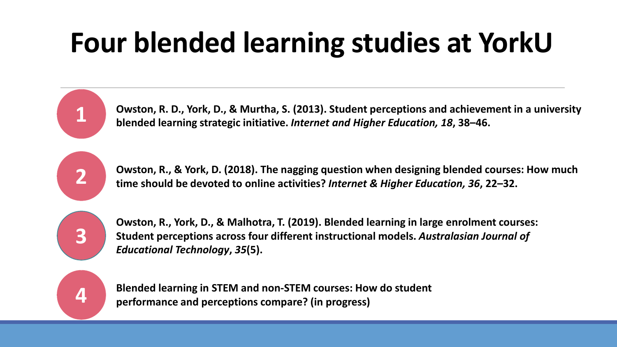# **Four blended learning studies at YorkU**

**Owston, R. D., York, D., & Murtha, S. (2013). Student perceptions and achievement in a university blended learning strategic initiative.** *Internet and Higher Education, 18***, 38–46.**



**1**

**Owston, R., & York, D. (2018). The nagging question when designing blended courses: How much time should be devoted to online activities?** *Internet & Higher Education, 36***, 22–32.**



**Owston, R., York, D., & Malhotra, T. (2019). Blended learning in large enrolment courses: Student perceptions across four different instructional models.** *Australasian Journal of Educational Technology***,** *35***(5).**



**Blended learning in STEM and non-STEM courses: How do student performance and perceptions compare? (in progress)**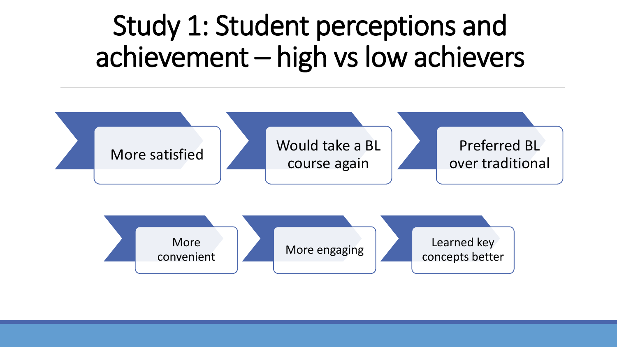## Study 1: Student perceptions and achievement – high vs low achievers

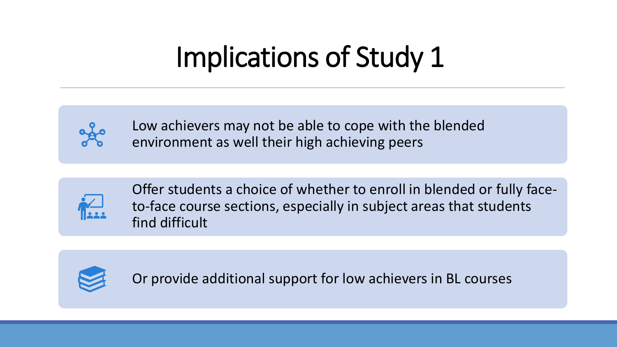# Implications of Study 1



Low achievers may not be able to cope with the blended environment as well their high achieving peers



Offer students a choice of whether to enroll in blended or fully faceto-face course sections, especially in subject areas that students find difficult



Or provide additional support for low achievers in BL courses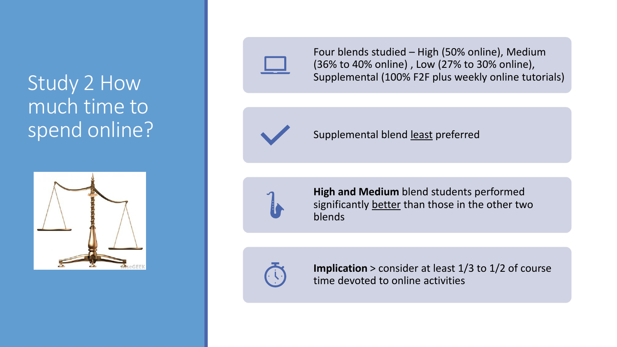### Study 2 How much time to spend online?





Four blends studied – High (50% online), Medium (36% to 40% online) , Low (27% to 30% online), Supplemental (100% F2F plus weekly online tutorials)



#### Supplemental blend least preferred



**High and Medium** blend students performed significantly better than those in the other two blends



**Implication** > consider at least 1/3 to 1/2 of course time devoted to online activities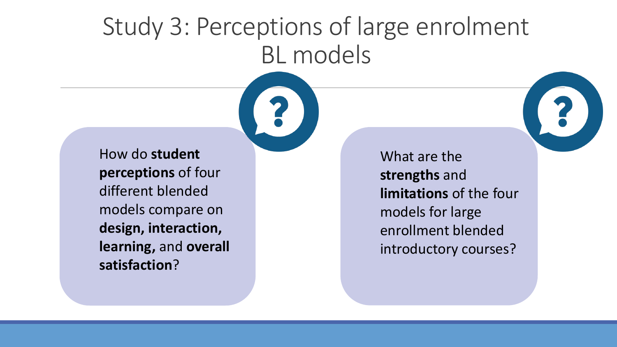### Study 3: Perceptions of large enrolment BL models

How do **student perceptions** of four different blended models compare on **design, interaction, learning,** and **overall satisfaction**?

What are the **strengths** and **limitations** of the four models for large enrollment blended introductory courses?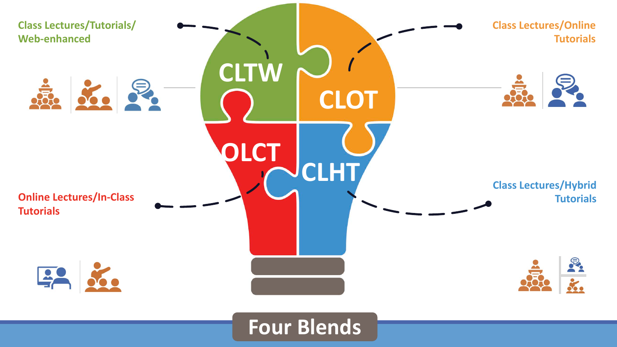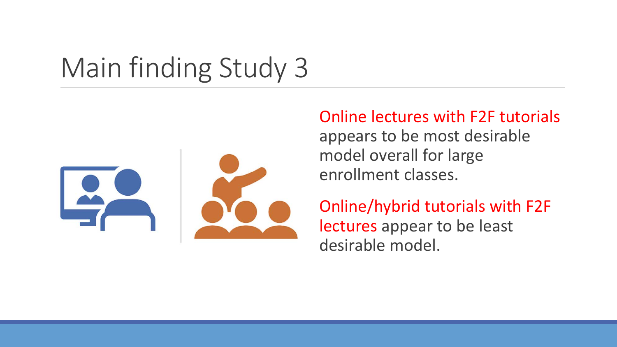## Main finding Study 3



### Online lectures with F2F tutorials appears to be most desirable model overall for large enrollment classes.

Online/hybrid tutorials with F2F lectures appear to be least desirable model.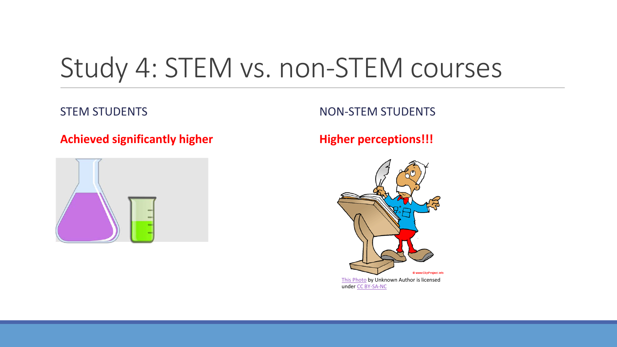## Study 4: STEM vs. non-STEM courses

### STEM STUDENTS

#### **Achieved significantly higher**



### NON-STEM STUDENTS

### **Higher perceptions!!!**

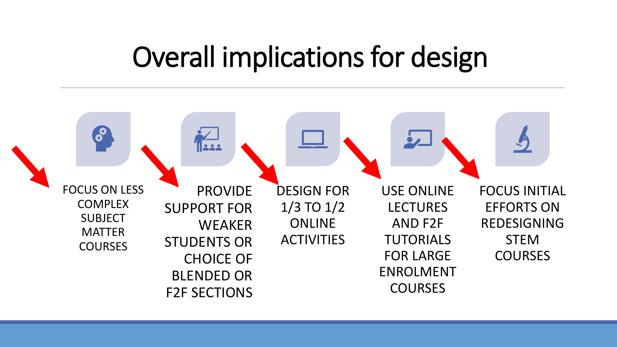## Overall implications for design